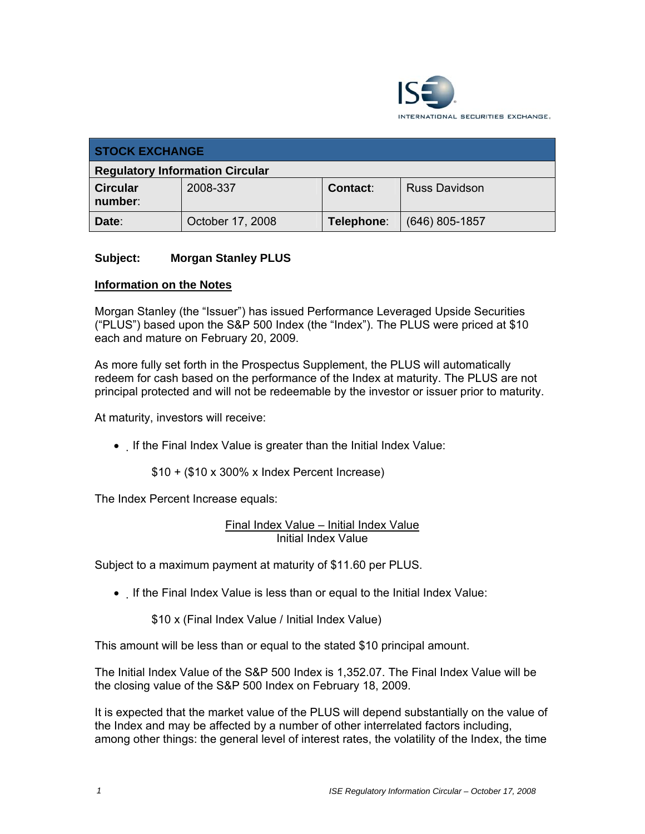

| <b>STOCK EXCHANGE</b>                  |                  |            |                      |  |
|----------------------------------------|------------------|------------|----------------------|--|
| <b>Regulatory Information Circular</b> |                  |            |                      |  |
| <b>Circular</b><br>number:             | 2008-337         | Contact:   | <b>Russ Davidson</b> |  |
| Date:                                  | October 17, 2008 | Telephone: | $(646)$ 805-1857     |  |

## **Subject: Morgan Stanley PLUS**

## **Information on the Notes**

Morgan Stanley (the "Issuer") has issued Performance Leveraged Upside Securities ("PLUS") based upon the S&P 500 Index (the "Index"). The PLUS were priced at \$10 each and mature on February 20, 2009.

As more fully set forth in the Prospectus Supplement, the PLUS will automatically redeem for cash based on the performance of the Index at maturity. The PLUS are not principal protected and will not be redeemable by the investor or issuer prior to maturity.

At maturity, investors will receive:

• If the Final Index Value is greater than the Initial Index Value:

\$10 + (\$10 x 300% x Index Percent Increase)

The Index Percent Increase equals:

Final Index Value – Initial Index Value Initial Index Value

Subject to a maximum payment at maturity of \$11.60 per PLUS.

• If the Final Index Value is less than or equal to the Initial Index Value:

\$10 x (Final Index Value / Initial Index Value)

This amount will be less than or equal to the stated \$10 principal amount.

The Initial Index Value of the S&P 500 Index is 1,352.07. The Final Index Value will be the closing value of the S&P 500 Index on February 18, 2009.

It is expected that the market value of the PLUS will depend substantially on the value of the Index and may be affected by a number of other interrelated factors including, among other things: the general level of interest rates, the volatility of the Index, the time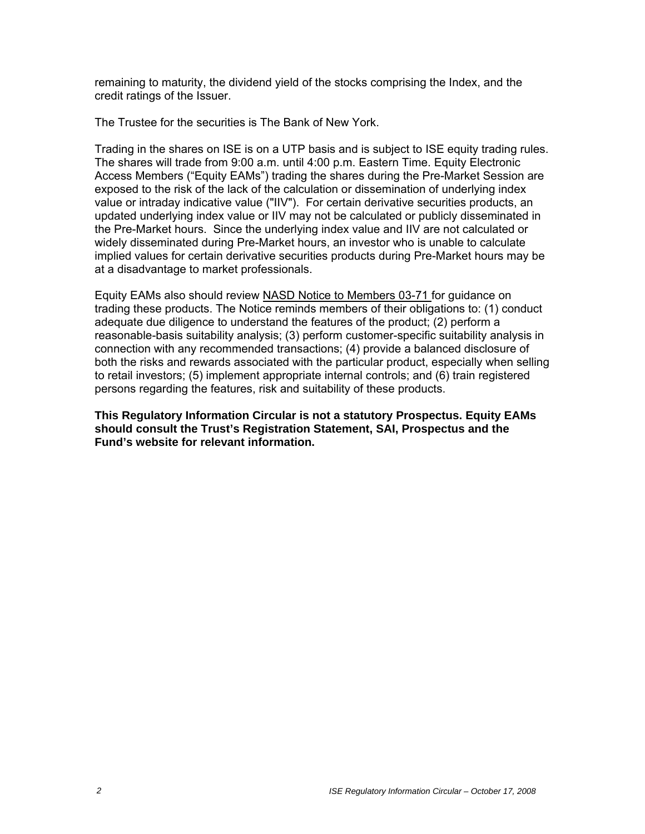remaining to maturity, the dividend yield of the stocks comprising the Index, and the credit ratings of the Issuer.

The Trustee for the securities is The Bank of New York.

Trading in the shares on ISE is on a UTP basis and is subject to ISE equity trading rules. The shares will trade from 9:00 a.m. until 4:00 p.m. Eastern Time. Equity Electronic Access Members ("Equity EAMs") trading the shares during the Pre-Market Session are exposed to the risk of the lack of the calculation or dissemination of underlying index value or intraday indicative value ("IIV"). For certain derivative securities products, an updated underlying index value or IIV may not be calculated or publicly disseminated in the Pre-Market hours. Since the underlying index value and IIV are not calculated or widely disseminated during Pre-Market hours, an investor who is unable to calculate implied values for certain derivative securities products during Pre-Market hours may be at a disadvantage to market professionals.

Equity EAMs also should review NASD Notice to Members 03-71 for guidance on trading these products. The Notice reminds members of their obligations to: (1) conduct adequate due diligence to understand the features of the product; (2) perform a reasonable-basis suitability analysis; (3) perform customer-specific suitability analysis in connection with any recommended transactions; (4) provide a balanced disclosure of both the risks and rewards associated with the particular product, especially when selling to retail investors; (5) implement appropriate internal controls; and (6) train registered persons regarding the features, risk and suitability of these products.

**This Regulatory Information Circular is not a statutory Prospectus. Equity EAMs should consult the Trust's Registration Statement, SAI, Prospectus and the Fund's website for relevant information.**